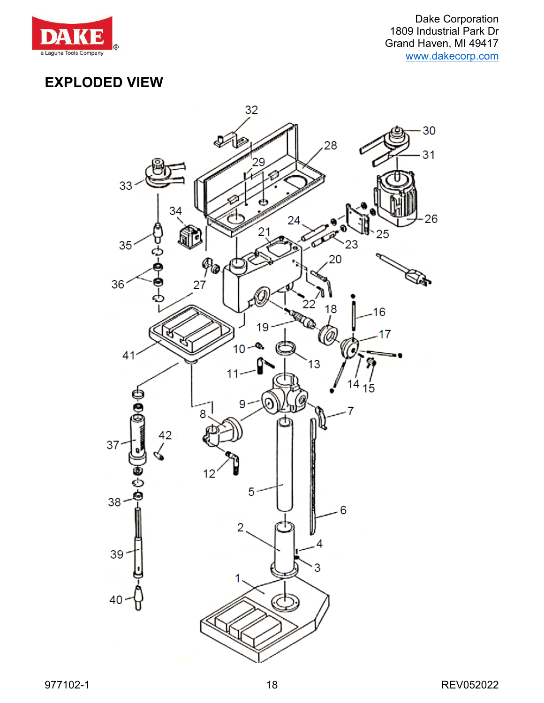

## **EXPLODED VIEW**

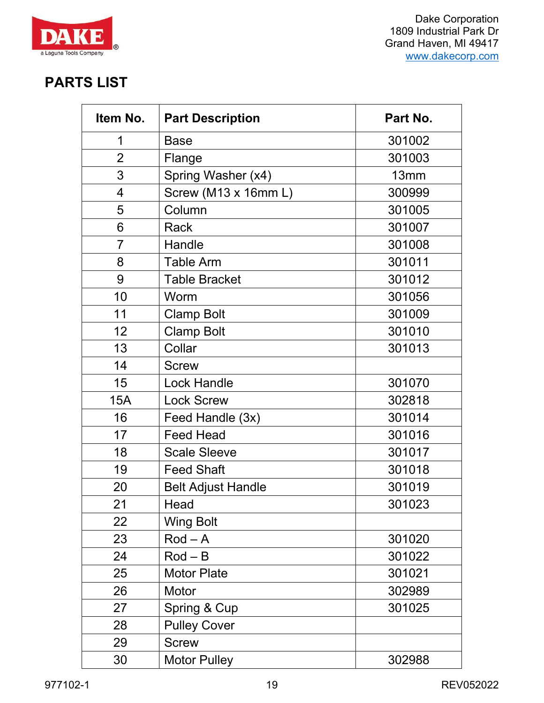

## **PARTS LIST**

| Item No.       | <b>Part Description</b>   | Part No.         |
|----------------|---------------------------|------------------|
| 1              | <b>Base</b>               | 301002           |
| $\overline{2}$ | Flange                    | 301003           |
| 3              | Spring Washer (x4)        | 13 <sub>mm</sub> |
| 4              | Screw (M13 x 16mm L)      | 300999           |
| 5              | Column                    | 301005           |
| 6              | <b>Rack</b>               | 301007           |
| $\overline{7}$ | Handle                    | 301008           |
| 8              | <b>Table Arm</b>          | 301011           |
| 9              | <b>Table Bracket</b>      | 301012           |
| 10             | Worm                      | 301056           |
| 11             | <b>Clamp Bolt</b>         | 301009           |
| 12             | <b>Clamp Bolt</b>         | 301010           |
| 13             | Collar                    | 301013           |
| 14             | <b>Screw</b>              |                  |
| 15             | <b>Lock Handle</b>        | 301070           |
| <b>15A</b>     | <b>Lock Screw</b>         | 302818           |
| 16             | Feed Handle (3x)          | 301014           |
| 17             | <b>Feed Head</b>          | 301016           |
| 18             | <b>Scale Sleeve</b>       | 301017           |
| 19             | <b>Feed Shaft</b>         | 301018           |
| 20             | <b>Belt Adjust Handle</b> | 301019           |
| 21             | Head                      | 301023           |
| 22             | <b>Wing Bolt</b>          |                  |
| 23             | $Rod - A$                 | 301020           |
| 24             | $Rod - B$                 | 301022           |
| 25             | <b>Motor Plate</b>        | 301021           |
| 26             | Motor                     | 302989           |
| 27             | Spring & Cup              | 301025           |
| 28             | <b>Pulley Cover</b>       |                  |
| 29             | <b>Screw</b>              |                  |
| 30             | <b>Motor Pulley</b>       | 302988           |